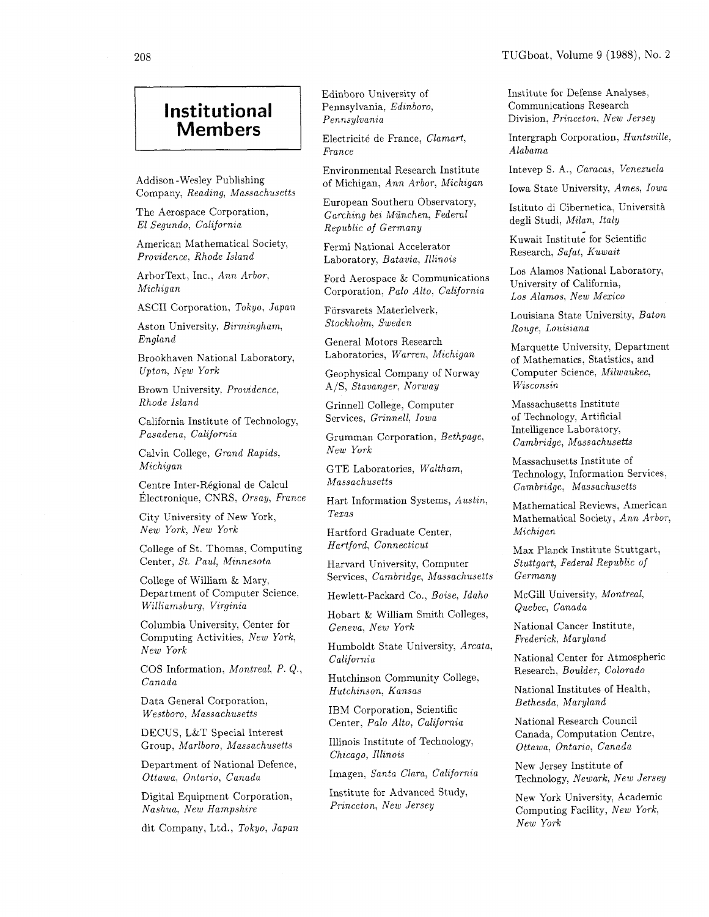## **Institutional Members**

Addison -Wesley Publishing Company, *Reading*, *Massachusetts* 

The Aerospace Corporation,  $El$  Segundo, California

American Mathematical Society, *Provzdence. Rhode Island* 

ArborText. Inc., *Ann Arbor.*   $Michael$ 

ASCII Corporation, *Tokyo, Japan* 

Aston University,  $Birmingham$ , *England* 

Brookhaven National Laboratory, *Upton, New York* 

Brown University, Providence, *Rhode Island* 

California Institute of Technology,  $Pasadena, California$ 

Calvin College, *Grand Rapids*,  $Michael$ *Michigan* 

Centre Inter-Régional de Calcul  $Électronique, CNRS, *Orsay, France*$ 

City University of New York, *New York, New York* 

College of St. Thomas, Computing Center, *St. Paul, Minnesota* 

College of William & Mary. Department of Computer Science.  $Williamsburg, Virginia$ 

Columbia University, Center for Computing Activities. *New York. New York* 

COS Information, *Montreal*, *P. Q.*, *Canada* 

Data General Corporation, *Westboro. Massachusetts* 

DECUS, L&T Special Interest Group. *Marlboro, Massachusetts* 

Department of National Defence, *Ottawa, Ontarzo, Canada* 

Digital Equipment Corporation,  $Nashua$ , New Hampshire

*New York* dit Company, Ltd., *Tokyo, Japan* 

Edinboro University of Pennsylvania, *Edinboro, Pennsylvania* 

Electricité de France, *Clamart*, *France* 

Environmental Research Institute of Michigan, *Ann Arbor, Michzgan* 

European Southern Observatory, *Garching bei Munchen, Federal Republic of Germany* 

Fermi National Accelerator Laboratory, *Batavia, Illinois* 

Ford Aerospace & Communications Corporation, *Palo Alto, California* 

Forsvarets Materielverk: *Stockholm, Sweden* 

General Motors Research Laboratories, *Warren, Michigan* 

Geophysical Company of Norway A/S, *Stavanger: Norway* 

Grinnell College, Computer Services, *Grinnell, Iowa* 

Grumman Corporation, *Bethpage, New York* 

GTE Laboratories, *Waltham, Massachusetts* 

Hart Information Systems, *Austin, Texas* 

Hartford Graduate Center, *Hartford, Connecticut* 

Harvard University, Computer Services, *Cambrzdge, Massachusetts* 

Hewlett-Packard Co., *Boise, Idaho* 

Hobart & William Smith Colleges, *Geneva, New York* 

Humboldt State University, *Arcata, California* 

Hutchinson Community College, *Hutchinson, Kansas* 

IBM Corporation, Scientific Center, *Palo Alto, California* 

Illinois Institute of Technology, *Chzcago, Illinois* 

Imagen, *Santa Clara, California* 

Institute for Advanced Study, *Princeton, New Jersey* 

Institute for Defense Analyses, Communications Research Division, *Princeton. New Jersey* 

Intergraph Corporation, *Huntsville, Alabama* 

Intevep S. A,, *Caracas, Venezuela* 

Iowa State University, *Ames, Iowa* 

Istituto di Cibernetica, Universit& degli Studi, *Milan, Italy* 

Kuwait Institute for Scientific Research, *Safat, Kuwait* 

Los Alamos National Laboratory, University of California, *Los Alamos, New Mexico* 

Louisiana State University, *Baton Rouge, Louisiana* 

Marquette University, Department of Mathematics, Statistics, and Computer Science, *Milwaukee. Wisconsin* 

Massachusetts Institute of Technology, Artificial Intelligence Laboratory, *Cambridge, Massachusetts* 

Massachusetts Institute of Technology, Information Services, *Cambridge, Massachusetts* 

Mathematical Reviews, American Mathematical Society, *Ann Arbor, Michigan* 

Max Planck Institute Stuttgart, *Stuttgart, Federal Republic of Germany* 

McGill University, *Montreal, Quebec, Canada* 

National Cancer Institute: *Frederick, Maryland* 

National Center for Atmospheric Research, *Boulder, Colorado* 

National Institutes of Health, *Bethesda, Maryland* 

National Research Council Canada, Computation Centre: *Ottawa, Ontario, Canada* 

New Jersey Institute of Technology, *Newark, New Jersey* 

New York University, Academic Computing Facility, *New York,*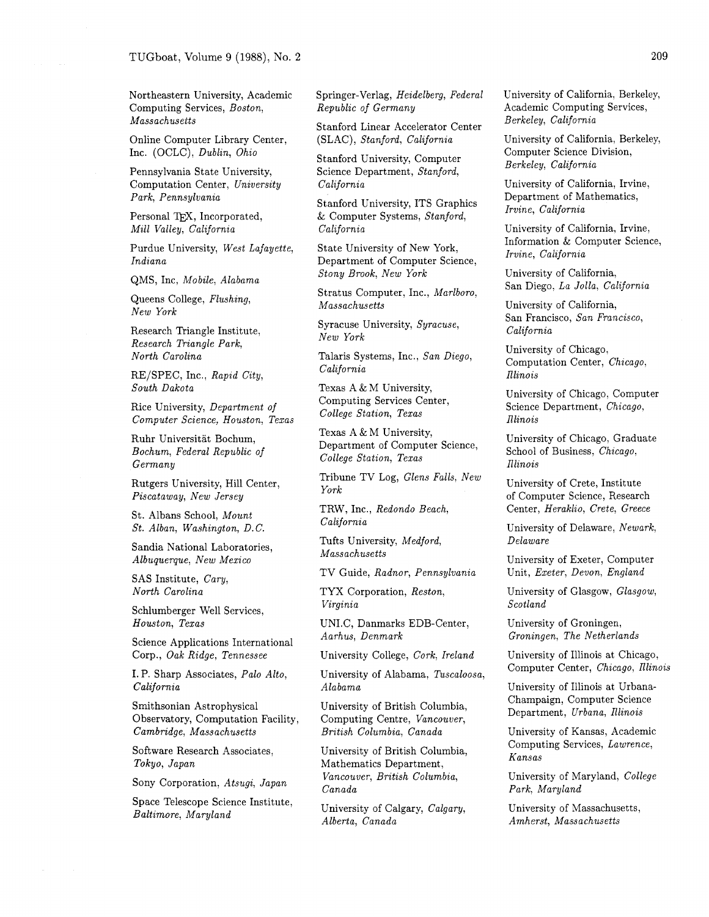Northeastern University, Academic Computing Services, Boston, Massachusetts

Online Computer Library Center, Inc. (OCLC), Dublin, Ohio

Pennsylvania State University, Computation Center, University Park, Pennsylvania

Personal TEX, Incorporated, Mill Valley, California

Purdue University, West Lafayette, Indiana

QMS, Inc, Mobile, Alabama

Queens College, Flushing, New York

Research Triangle Institute, Research Triangle Park, North Carolina

RE/SPEC, Inc., Rapid City, South Dakota

Rice University, Department of Computer Science, Houston, Texas

Ruhr Universitat Bochum, Bocham, Federal Republic of Germany

Rutgers University, Hill Center, Piscataway, New Jersey

St. Albans School, Mount St. Alban, Washington, D. C.

Sandia National Laboratories, Albuquerque, New Mexico

SAS Institute, Cary, North Carolina

Schlumberger Well Services, Houston, Texas

Science Applications International Corp., Oak Ridge, Tennessee

I. P. Sharp Associates, Palo Alto, California

Srnithsonian Astrophysical Observatory, Computation Facility, Cambridge, Massachusetts

Software Research Associates, Tokyo, Japan

Sony Corporation, Atsugi, Japan

Space Telescope Science Institute, Baltimore, Maryland

Springer-Verlag, Heidelberg, Federal Republic of Germany

Stanford Linear Accelerator Center (SLAC), Stanford, California

Stanford University, Computer Science Department, Stanford, California

Stanford University, ITS Graphics & Computer Systems, Stanford, California

State University of New York, Department of Computer Science, Stony Brook, New York

Stratus Computer, Inc., Marlboro, Massachusetts

Syracuse University, Syracuse, New York

Talaris Systems, Inc., San Diego, California

Texas A & M University, Computing Services Center, College Station, Texas

Texas A & M University, Department of Computer Science, College Station, Texas

Tribune TV Log, Glens Falls, New York

TRW, Inc., Redondo Beach, California

Tufts University, Medford, Massachusetts

TV Guide, Radnor, Pennsylvania

TYX Corporation, Reston. Virginia

UNI.C, Danmarks EDB-Center, Aarhus, Denmark

University College, Cork, Ireland

University of Alabama, Tuscaloosa, Alabama

University of British Columbia, Computing Centre, Vancouver, British Columbia, Canada

University of British Columbia, Mathematics Department, Vancouver, British Columbia, Canada

University of Calgary, Calgary, Alberta, Canada

University of California, Berkeley, Academic Computing Services, Berkeley, California

University of California, Berkeley, Computer Science Division, Berkeley, California

University of California, Irvine, Department of Mathematics, Irvine, California

University of California, Irvine, Information & Computer Science, Irvine, California

University of California, San Diego, La Jolla, California

University of California, San Francisco, San Francisco, California

University of Chicago, Computation Center, Chicago, Illinois

University of Chicago, Computer Science Department, Chicago, Illinois

University of Chicago, Graduate School of Business, Chicago, Illinois

University of Crete, Institute of Computer Science, Research Center, Heraklio, Crete, Greece

University of Delaware, Newark, Delaware

University of Exeter, Computer Unit, Exeter, Devon, England

University of Glasgow, Glasgow, Scotland

University of Groningen, Groningen, The Netherlands

University of Illinois at Chicago, Computer Center, Chicago, Illinois

University of Illinois at Urbana-Champaign, Computer Science Department, Urbana, Illinois

University of Kansas, Academic Computing Services, Lawrence, Kansas

University of Maryland, College Park, Maryland

University of Massachusetts, Amherst, Massachusetts